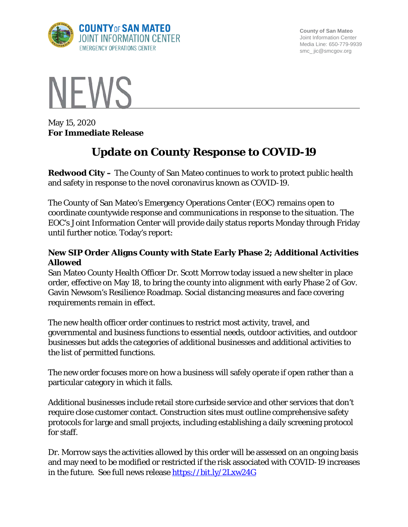

**County of San Mateo** Joint Information Center Media Line: 650-779-9939 smc\_ jic@smcgov.org



May 15, 2020 **For Immediate Release**

# **Update on County Response to COVID-19**

**Redwood City –** The County of San Mateo continues to work to protect public health and safety in response to the novel coronavirus known as COVID-19.

The County of San Mateo's Emergency Operations Center (EOC) remains open to coordinate countywide response and communications in response to the situation. The EOC's Joint Information Center will provide daily status reports Monday through Friday until further notice. Today's report:

# **New SIP Order Aligns County with State Early Phase 2; Additional Activities Allowed**

San Mateo County Health Officer Dr. Scott Morrow today issued a new shelter in place order, effective on May 18, to bring the county into alignment with early Phase 2 of Gov. Gavin Newsom's Resilience Roadmap. Social distancing measures and face covering requirements remain in effect.

The new health officer order continues to restrict most activity, travel, and governmental and business functions to essential needs, outdoor activities, and outdoor businesses but adds the categories of additional businesses and additional activities to the list of permitted functions.

The new order focuses more on how a business will safely operate if open rather than a particular category in which it falls.

Additional businesses include retail store curbside service and other services that don't require close customer contact. Construction sites must outline comprehensive safety protocols for large and small projects, including establishing a daily screening protocol for staff.

Dr. Morrow says the activities allowed by this order will be assessed on an ongoing basis and may need to be modified or restricted if the risk associated with COVID-19 increases in the future. See full news release<https://bit.ly/2Lxw24G>